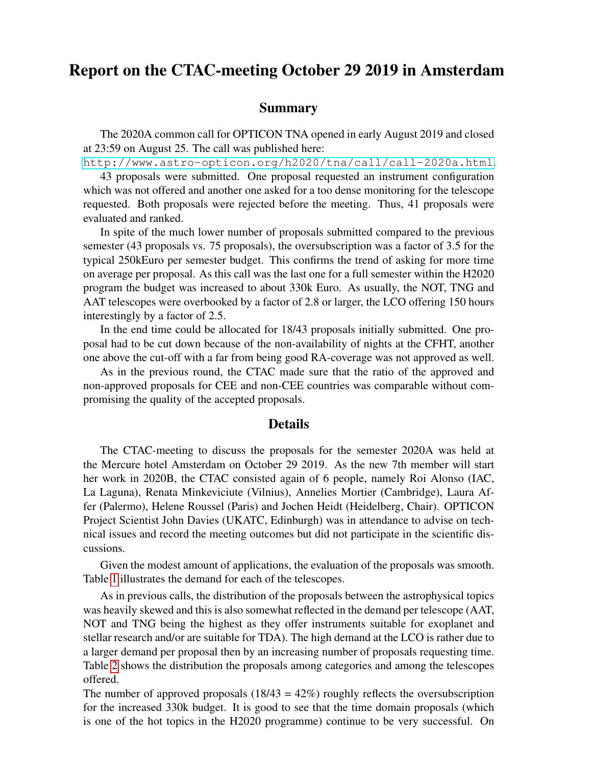## Report on the CTAC-meeting October 29 2019 in Amsterdam

## Summary

The 2020A common call for OPTICON TNA opened in early August 2019 and closed at 23:59 on August 25. The call was published here:

<http://www.astro-opticon.org/h2020/tna/call/call-2020a.html>.

43 proposals were submitted. One proposal requested an instrument configuration which was not offered and another one asked for a too dense monitoring for the telescope requested. Both proposals were rejected before the meeting. Thus, 41 proposals were evaluated and ranked.

In spite of the much lower number of proposals submitted compared to the previous semester (43 proposals vs. 75 proposals), the oversubscription was a factor of 3.5 for the typical 250kEuro per semester budget. This confirms the trend of asking for more time on average per proposal. As this call was the last one for a full semester within the H2020 program the budget was increased to about 330k Euro. As usually, the NOT, TNG and AAT telescopes were overbooked by a factor of 2.8 or larger, the LCO offering 150 hours interestingly by a factor of 2.5.

In the end time could be allocated for 18/43 proposals initially submitted. One proposal had to be cut down because of the non-availability of nights at the CFHT, another one above the cut-off with a far from being good RA-coverage was not approved as well.

As in the previous round, the CTAC made sure that the ratio of the approved and non-approved proposals for CEE and non-CEE countries was comparable without compromising the quality of the accepted proposals.

## Details

The CTAC-meeting to discuss the proposals for the semester 2020A was held at the Mercure hotel Amsterdam on October 29 2019. As the new 7th member will start her work in 2020B, the CTAC consisted again of 6 people, namely Roi Alonso (IAC, La Laguna), Renata Minkeviciute (Vilnius), Annelies Mortier (Cambridge), Laura Affer (Palermo), Helene Roussel (Paris) and Jochen Heidt (Heidelberg, Chair). OPTICON Project Scientist John Davies (UKATC, Edinburgh) was in attendance to advise on technical issues and record the meeting outcomes but did not participate in the scientific discussions.

Given the modest amount of applications, the evaluation of the proposals was smooth. Table [1](#page-1-0) illustrates the demand for each of the telescopes.

As in previous calls, the distribution of the proposals between the astrophysical topics was heavily skewed and this is also somewhat reflected in the demand per telescope (AAT, NOT and TNG being the highest as they offer instruments suitable for exoplanet and stellar research and/or are suitable for TDA). The high demand at the LCO is rather due to a larger demand per proposal then by an increasing number of proposals requesting time. Table [2](#page-2-0) shows the distribution the proposals among categories and among the telescopes offered.

The number of approved proposals  $(18/43 = 42\%)$  roughly reflects the oversubscription for the increased 330k budget. It is good to see that the time domain proposals (which is one of the hot topics in the H2020 programme) continue to be very successful. On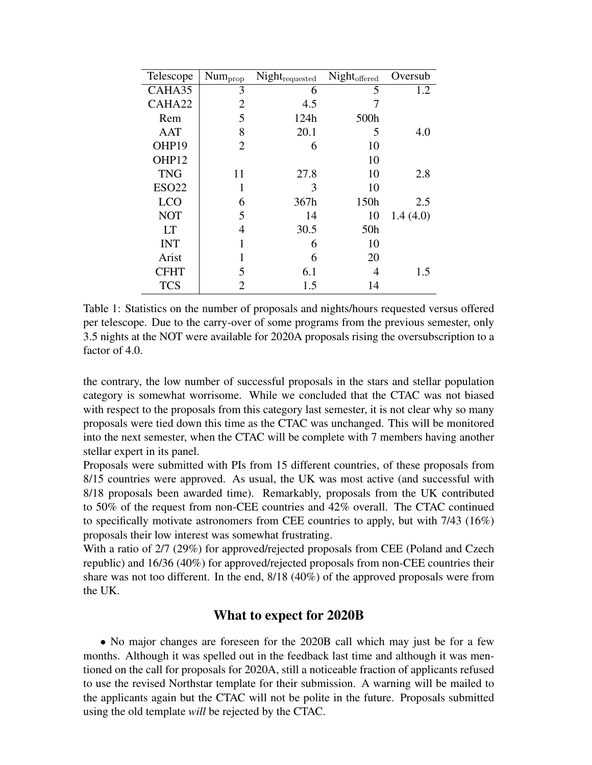| Telescope    | Num <sub>prop</sub> | $Night_{\mathrm{requested}}$ | Night <sub>offered</sub> | Oversub  |
|--------------|---------------------|------------------------------|--------------------------|----------|
| CAHA35       | 3                   | 6                            | 5                        | 1.2      |
| CAHA22       | $\overline{2}$      | 4.5                          |                          |          |
| Rem          | 5                   | 124h                         | 500h                     |          |
| <b>AAT</b>   | 8                   | 20.1                         | 5                        | 4.0      |
| OHP19        | $\overline{2}$      | 6                            | 10                       |          |
| OHP12        |                     |                              | 10                       |          |
| <b>TNG</b>   | 11                  | 27.8                         | 10                       | 2.8      |
| <b>ESO22</b> | 1                   | 3                            | 10                       |          |
| <b>LCO</b>   | 6                   | 367h                         | 150h                     | 2.5      |
| <b>NOT</b>   | 5                   | 14                           | 10                       | 1.4(4.0) |
| <b>LT</b>    | 4                   | 30.5                         | 50 <sub>h</sub>          |          |
| <b>INT</b>   | 1                   | 6                            | 10                       |          |
| Arist        |                     | 6                            | 20                       |          |
| <b>CFHT</b>  | 5                   | 6.1                          | 4                        | 1.5      |
| <b>TCS</b>   | 2                   | 1.5                          | 14                       |          |

<span id="page-1-0"></span>Table 1: Statistics on the number of proposals and nights/hours requested versus offered per telescope. Due to the carry-over of some programs from the previous semester, only 3.5 nights at the NOT were available for 2020A proposals rising the oversubscription to a factor of 4.0.

the contrary, the low number of successful proposals in the stars and stellar population category is somewhat worrisome. While we concluded that the CTAC was not biased with respect to the proposals from this category last semester, it is not clear why so many proposals were tied down this time as the CTAC was unchanged. This will be monitored into the next semester, when the CTAC will be complete with 7 members having another stellar expert in its panel.

Proposals were submitted with PIs from 15 different countries, of these proposals from 8/15 countries were approved. As usual, the UK was most active (and successful with 8/18 proposals been awarded time). Remarkably, proposals from the UK contributed to 50% of the request from non-CEE countries and 42% overall. The CTAC continued to specifically motivate astronomers from CEE countries to apply, but with 7/43 (16%) proposals their low interest was somewhat frustrating.

With a ratio of 2/7 (29%) for approved/rejected proposals from CEE (Poland and Czech republic) and 16/36 (40%) for approved/rejected proposals from non-CEE countries their share was not too different. In the end, 8/18 (40%) of the approved proposals were from the UK.

## What to expect for 2020B

• No major changes are foreseen for the 2020B call which may just be for a few months. Although it was spelled out in the feedback last time and although it was mentioned on the call for proposals for 2020A, still a noticeable fraction of applicants refused to use the revised Northstar template for their submission. A warning will be mailed to the applicants again but the CTAC will not be polite in the future. Proposals submitted using the old template *will* be rejected by the CTAC.